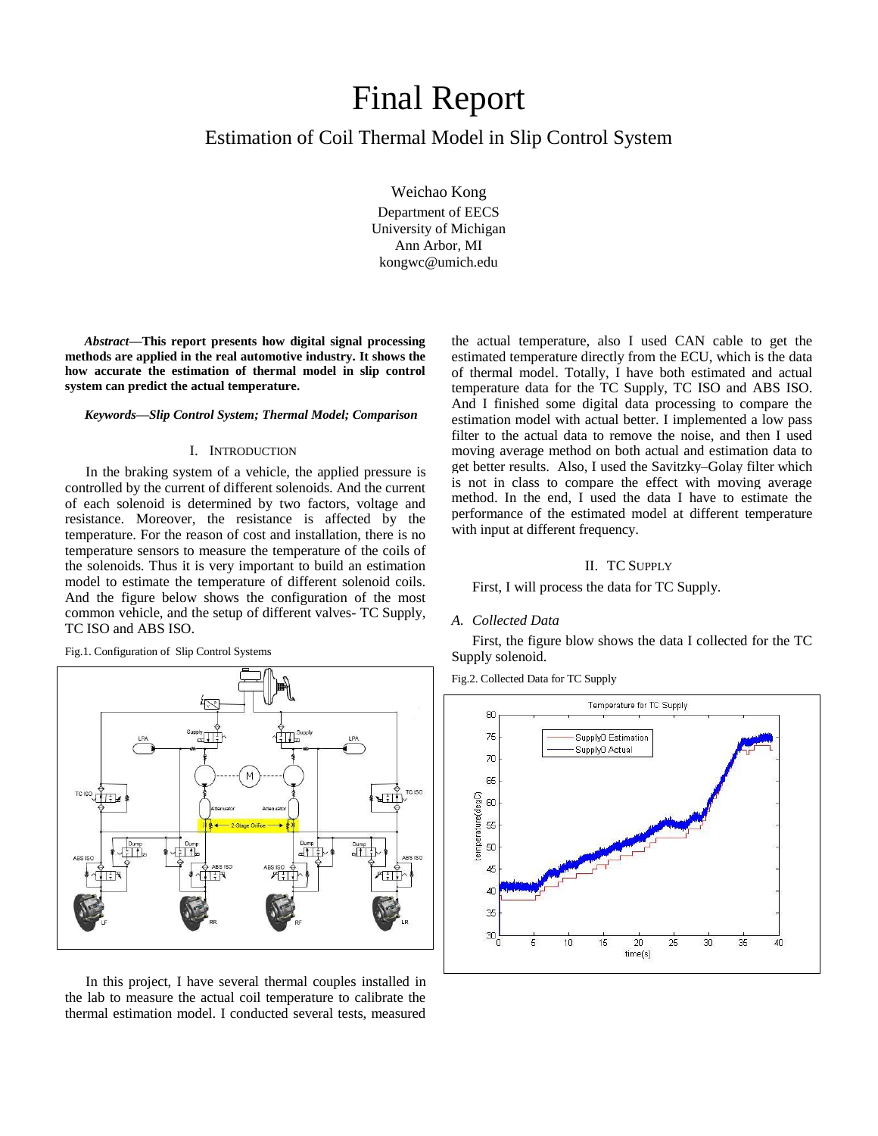# Final Report

# Estimation of Coil Thermal Model in Slip Control System

Weichao Kong Department of EECS University of Michigan Ann Arbor, MI kongwc@umich.edu

*Abstract***—This report presents how digital signal processing methods are applied in the real automotive industry. It shows the how accurate the estimation of thermal model in slip control system can predict the actual temperature.**

#### *Keywords—Slip Control System; Thermal Model; Comparison*

## I. INTRODUCTION

In the braking system of a vehicle, the applied pressure is controlled by the current of different solenoids. And the current of each solenoid is determined by two factors, voltage and resistance. Moreover, the resistance is affected by the temperature. For the reason of cost and installation, there is no temperature sensors to measure the temperature of the coils of the solenoids. Thus it is very important to build an estimation model to estimate the temperature of different solenoid coils. And the figure below shows the configuration of the most common vehicle, and the setup of different valves- TC Supply, TC ISO and ABS ISO.

Fig.1. Configuration of Slip Control Systems



In this project, I have several thermal couples installed in the lab to measure the actual coil temperature to calibrate the thermal estimation model. I conducted several tests, measured

the actual temperature, also I used CAN cable to get the estimated temperature directly from the ECU, which is the data of thermal model. Totally, I have both estimated and actual temperature data for the TC Supply, TC ISO and ABS ISO. And I finished some digital data processing to compare the estimation model with actual better. I implemented a low pass filter to the actual data to remove the noise, and then I used moving average method on both actual and estimation data to get better results. Also, I used the Savitzky–Golay filter which is not in class to compare the effect with moving average method. In the end, I used the data I have to estimate the performance of the estimated model at different temperature with input at different frequency.

#### II. TC SUPPLY

#### First, I will process the data for TC Supply.

#### *A. Collected Data*

First, the figure blow shows the data I collected for the TC Supply solenoid.

Fig.2. Collected Data for TC Supply

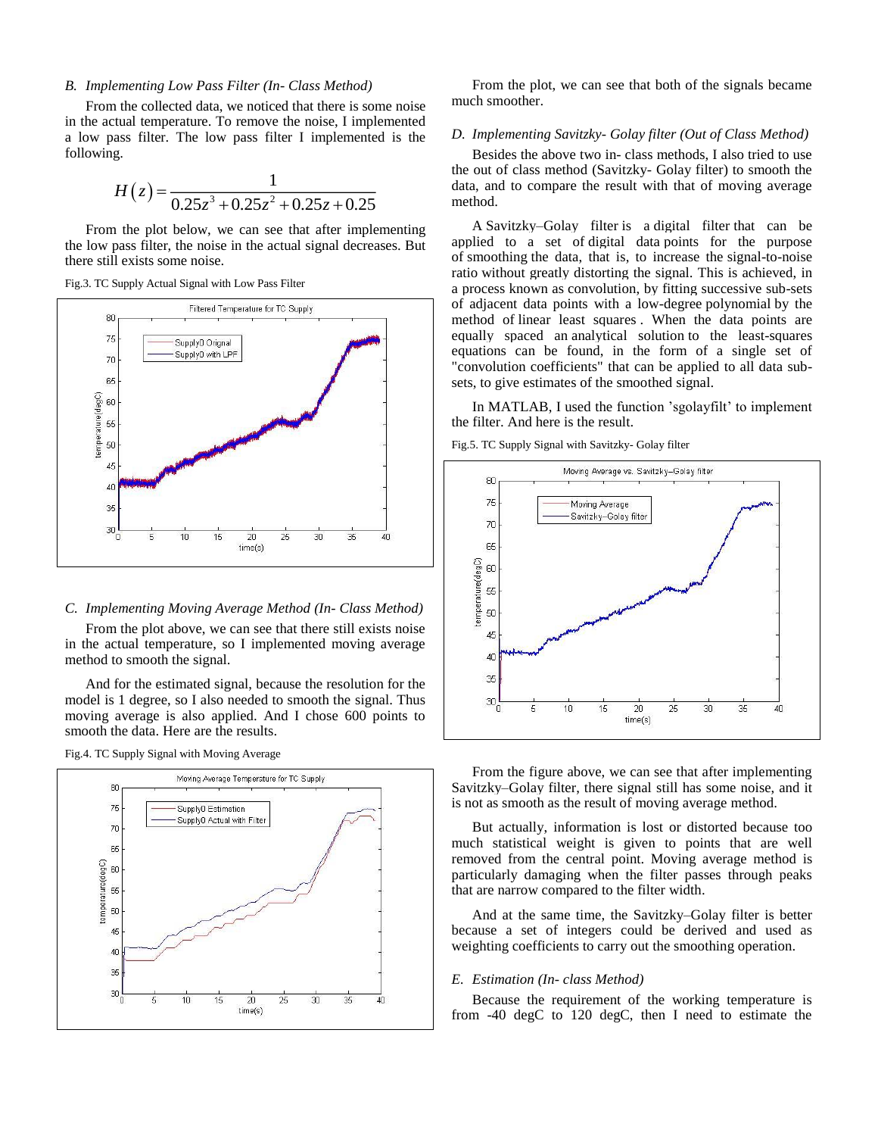# *B. Implementing Low Pass Filter (In- Class Method)*

From the collected data, we noticed that there is some noise in the actual temperature. To remove the noise, I implemented a low pass filter. The low pass filter I implemented is the following.

$$
H(z) = \frac{1}{0.25z^3 + 0.25z^2 + 0.25z + 0.25}
$$

From the plot below, we can see that after implementing the low pass filter, the noise in the actual signal decreases. But there still exists some noise.

Fig.3. TC Supply Actual Signal with Low Pass Filter



## *C. Implementing Moving Average Method (In- Class Method)*

From the plot above, we can see that there still exists noise in the actual temperature, so I implemented moving average method to smooth the signal.

And for the estimated signal, because the resolution for the model is 1 degree, so I also needed to smooth the signal. Thus moving average is also applied. And I chose 600 points to smooth the data. Here are the results.

Fig.4. TC Supply Signal with Moving Average



From the plot, we can see that both of the signals became much smoother.

# *D. Implementing Savitzky- Golay filter (Out of Class Method)*

Besides the above two in- class methods, I also tried to use the out of class method (Savitzky- Golay filter) to smooth the data, and to compare the result with that of moving average method.

A Savitzky–Golay filter is a [digital filter](http://en.wikipedia.org/wiki/Digital_filter) that can be applied to a set of [digital data](http://en.wikipedia.org/wiki/Digital_data) points for the purpose of [smoothing](http://en.wikipedia.org/wiki/Smoothing) the data, that is, to increase the [signal-to-noise](http://en.wikipedia.org/wiki/Signal-to-noise_ratio)  [ratio](http://en.wikipedia.org/wiki/Signal-to-noise_ratio) without greatly distorting the signal. This is achieved, in a process known as [convolution,](http://en.wikipedia.org/wiki/Convolution) by fitting successive sub-sets of adjacent data points with a low-degree [polynomial](http://en.wikipedia.org/wiki/Polynomial) by the method of [linear least squares](http://en.wikipedia.org/wiki/Linear_least_squares_(mathematics)) . When the data points are equally spaced an [analytical solution](http://en.wikipedia.org/wiki/Analytical_solution) to the least-squares equations can be found, in the form of a single set of "convolution coefficients" that can be applied to all data subsets, to give estimates of the smoothed signal.

In MATLAB, I used the function 'sgolayfilt' to implement the filter. And here is the result.

Fig.5. TC Supply Signal with Savitzky- Golay filter



From the figure above, we can see that after implementing Savitzky–Golay filter, there signal still has some noise, and it is not as smooth as the result of moving average method.

But actually, information is lost or distorted because too much statistical weight is given to points that are well removed from the central point. Moving average method is particularly damaging when the filter passes through peaks that are narrow compared to the filter width.

And at the same time, the Savitzky–Golay filter is better because a set of integers could be derived and used as weighting coefficients to carry out the smoothing operation.

## *E. Estimation (In- class Method)*

Because the requirement of the working temperature is from -40 degC to 120 degC, then I need to estimate the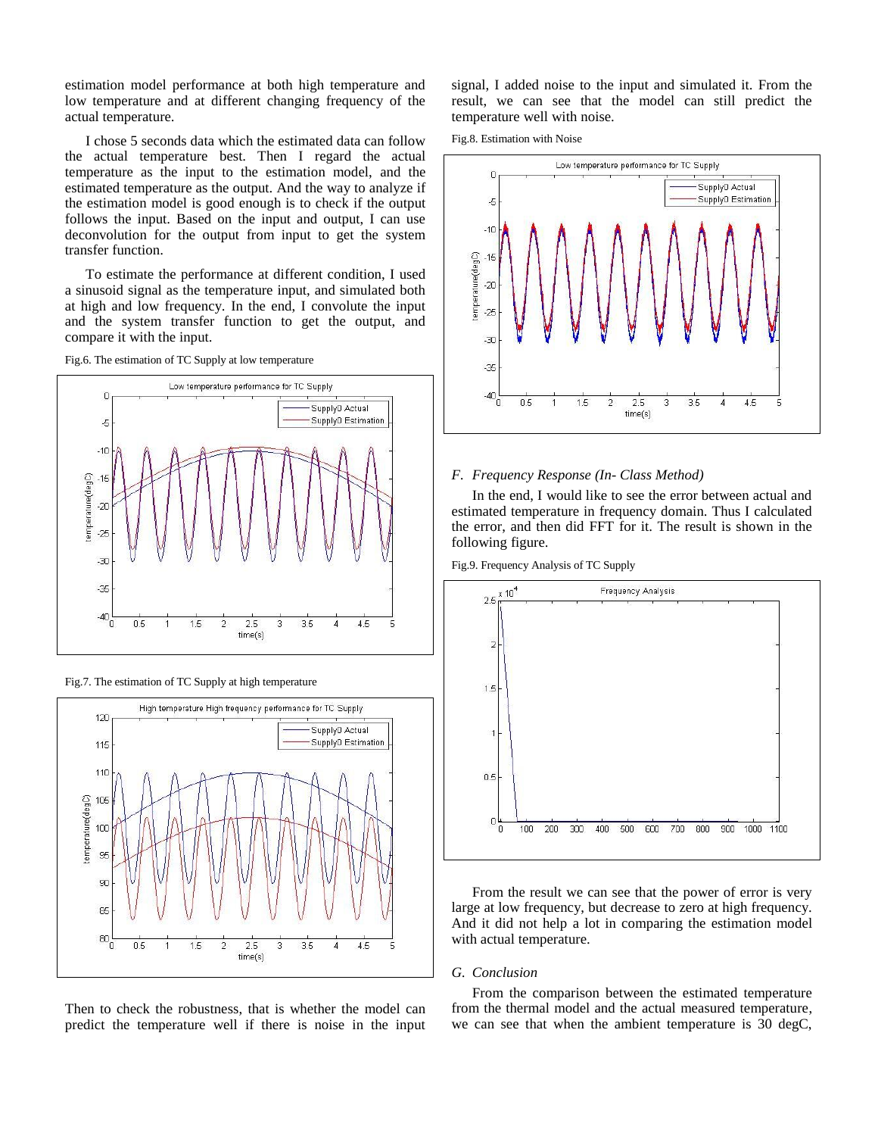estimation model performance at both high temperature and low temperature and at different changing frequency of the actual temperature.

I chose 5 seconds data which the estimated data can follow the actual temperature best. Then I regard the actual temperature as the input to the estimation model, and the estimated temperature as the output. And the way to analyze if the estimation model is good enough is to check if the output follows the input. Based on the input and output, I can use deconvolution for the output from input to get the system transfer function.

To estimate the performance at different condition, I used a sinusoid signal as the temperature input, and simulated both at high and low frequency. In the end, I convolute the input and the system transfer function to get the output, and compare it with the input.

Fig.6. The estimation of TC Supply at low temperature







Then to check the robustness, that is whether the model can predict the temperature well if there is noise in the input signal, I added noise to the input and simulated it. From the result, we can see that the model can still predict the temperature well with noise.

Fig.8. Estimation with Noise



# *F. Frequency Response (In- Class Method)*

In the end, I would like to see the error between actual and estimated temperature in frequency domain. Thus I calculated the error, and then did FFT for it. The result is shown in the following figure.

Fig.9. Frequency Analysis of TC Supply



From the result we can see that the power of error is very large at low frequency, but decrease to zero at high frequency. And it did not help a lot in comparing the estimation model with actual temperature.

#### *G. Conclusion*

From the comparison between the estimated temperature from the thermal model and the actual measured temperature, we can see that when the ambient temperature is 30 degC,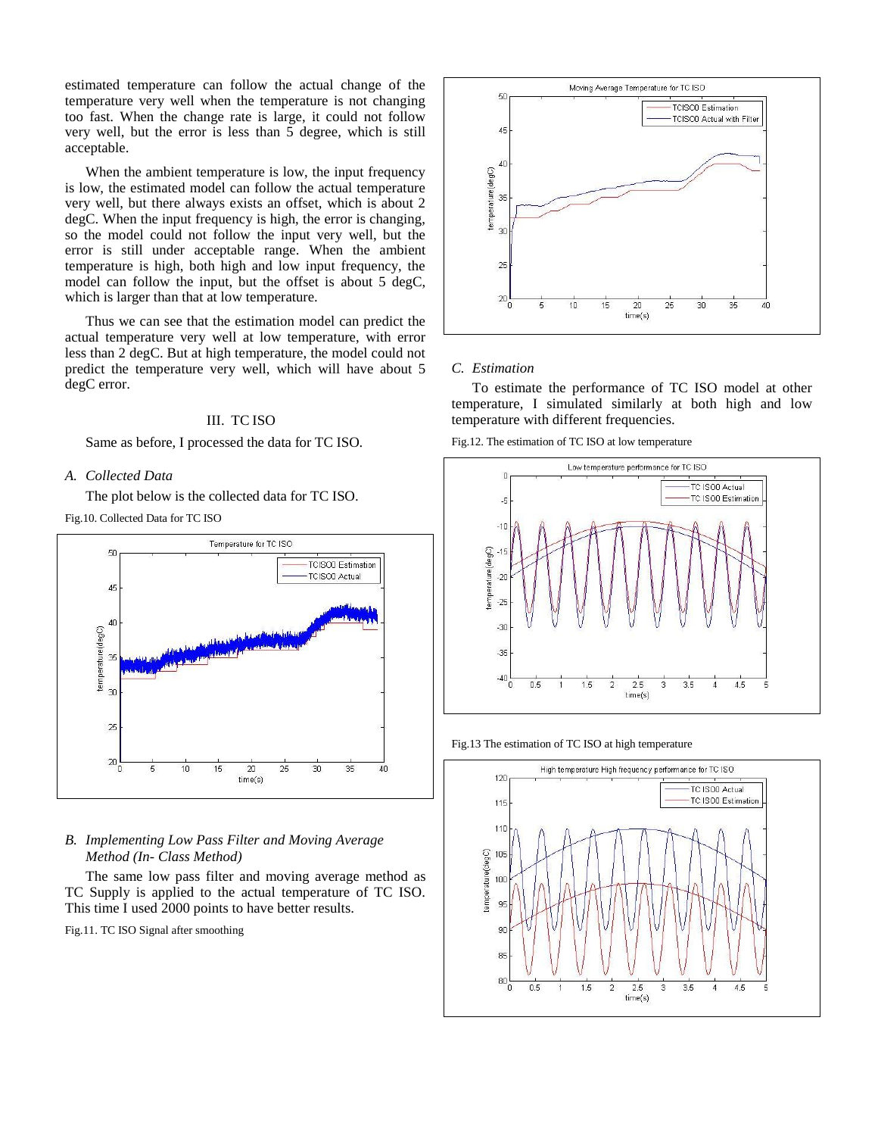estimated temperature can follow the actual change of the temperature very well when the temperature is not changing too fast. When the change rate is large, it could not follow very well, but the error is less than 5 degree, which is still acceptable.

When the ambient temperature is low, the input frequency is low, the estimated model can follow the actual temperature very well, but there always exists an offset, which is about 2 degC. When the input frequency is high, the error is changing, so the model could not follow the input very well, but the error is still under acceptable range. When the ambient temperature is high, both high and low input frequency, the model can follow the input, but the offset is about 5 degC, which is larger than that at low temperature.

Thus we can see that the estimation model can predict the actual temperature very well at low temperature, with error less than 2 degC. But at high temperature, the model could not predict the temperature very well, which will have about 5 degC error.

# III. TC ISO

Same as before, I processed the data for TC ISO.

#### *A. Collected Data*

The plot below is the collected data for TC ISO.

Fig.10. Collected Data for TC ISO



# *B. Implementing Low Pass Filter and Moving Average Method (In- Class Method)*

The same low pass filter and moving average method as TC Supply is applied to the actual temperature of TC ISO. This time I used 2000 points to have better results.

Fig.11. TC ISO Signal after smoothing



#### *C. Estimation*

To estimate the performance of TC ISO model at other temperature, I simulated similarly at both high and low temperature with different frequencies.

Fig.12. The estimation of TC ISO at low temperature



Fig.13 The estimation of TC ISO at high temperature